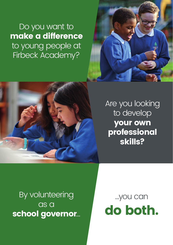Do you want to make a difference to young people at Firbeck Academy?





# Are you looking to develop your own professional skills?

By volunteering as a school governor…

…you can do both.